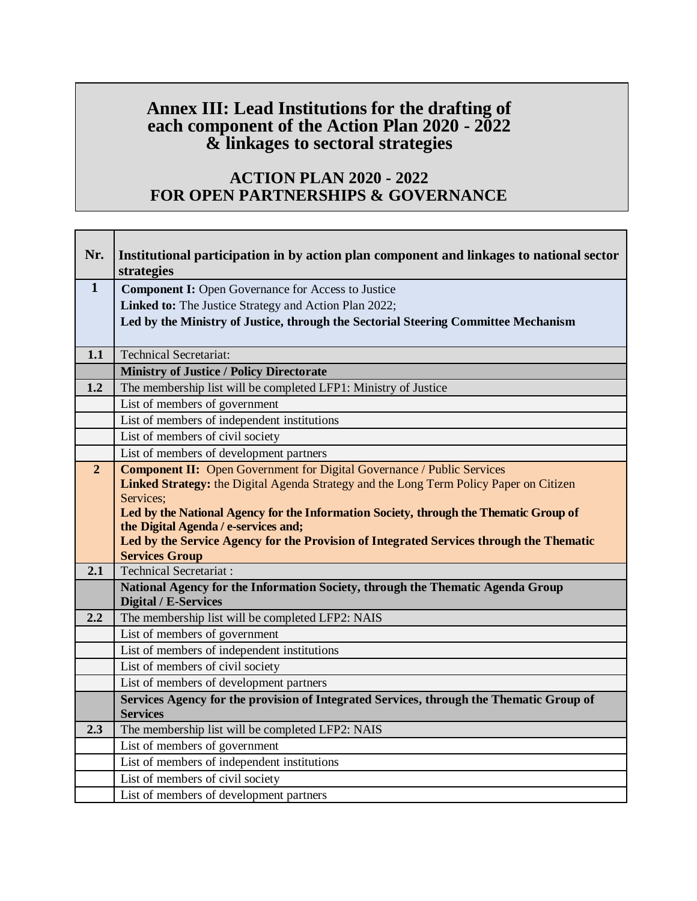## **Annex III: Lead Institutions for the drafting of each component of the Action Plan 2020 - 2022 & linkages to sectoral strategies**

## **ACTION PLAN 2020 - 2022 FOR OPEN PARTNERSHIPS & GOVERNANCE**

| Nr.            | Institutional participation in by action plan component and linkages to national sector<br>strategies                           |
|----------------|---------------------------------------------------------------------------------------------------------------------------------|
| $\mathbf{1}$   | <b>Component I:</b> Open Governance for Access to Justice                                                                       |
|                | Linked to: The Justice Strategy and Action Plan 2022;                                                                           |
|                | Led by the Ministry of Justice, through the Sectorial Steering Committee Mechanism                                              |
|                |                                                                                                                                 |
| 1.1            | <b>Technical Secretariat:</b>                                                                                                   |
|                | <b>Ministry of Justice / Policy Directorate</b>                                                                                 |
| 1.2            | The membership list will be completed LFP1: Ministry of Justice                                                                 |
|                | List of members of government                                                                                                   |
|                | List of members of independent institutions                                                                                     |
|                | List of members of civil society                                                                                                |
|                | List of members of development partners                                                                                         |
| $\overline{2}$ | <b>Component II:</b> Open Government for Digital Governance / Public Services                                                   |
|                | Linked Strategy: the Digital Agenda Strategy and the Long Term Policy Paper on Citizen                                          |
|                | Services;                                                                                                                       |
|                | Led by the National Agency for the Information Society, through the Thematic Group of                                           |
|                | the Digital Agenda / e-services and;<br>Led by the Service Agency for the Provision of Integrated Services through the Thematic |
|                | <b>Services Group</b>                                                                                                           |
| 2.1            | <b>Technical Secretariat:</b>                                                                                                   |
|                | National Agency for the Information Society, through the Thematic Agenda Group                                                  |
|                | <b>Digital / E-Services</b>                                                                                                     |
| 2.2            | The membership list will be completed LFP2: NAIS                                                                                |
|                | List of members of government                                                                                                   |
|                | List of members of independent institutions                                                                                     |
|                | List of members of civil society                                                                                                |
|                | List of members of development partners                                                                                         |
|                | Services Agency for the provision of Integrated Services, through the Thematic Group of                                         |
|                | <b>Services</b>                                                                                                                 |
| 2.3            | The membership list will be completed LFP2: NAIS                                                                                |
|                | List of members of government                                                                                                   |
|                | List of members of independent institutions                                                                                     |
|                | List of members of civil society                                                                                                |
|                | List of members of development partners                                                                                         |